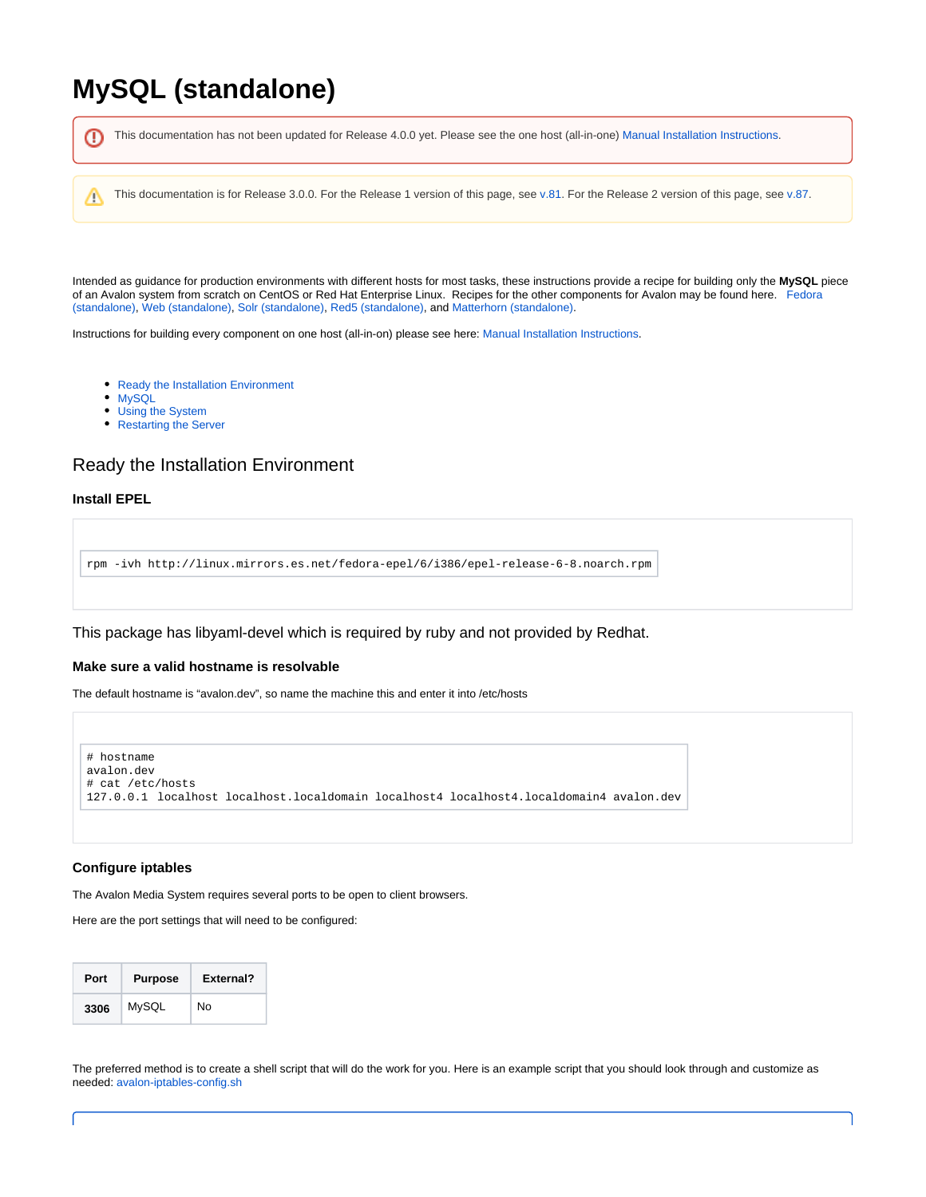# **MySQL (standalone)**

This documentation has not been updated for Release 4.0.0 yet. Please see the one host (all-in-one) [Manual Installation Instructions.](https://wiki.dlib.indiana.edu/display/VarVideo/Manual+Installation+Instructions) ⊕ Λ This documentation is for Release 3.0.0. For the Release 1 version of this page, see [v.81](https://wiki.dlib.indiana.edu/pages/viewpage.action?pageId=516164286). For the Release 2 version of this page, see [v.87.](https://wiki.dlib.indiana.edu/pages/viewpage.action?pageId=517669561)Intended as guidance for production environments with different hosts for most tasks, these instructions provide a recipe for building only the **MySQL** piece

of an Avalon system from scratch on CentOS or Red Hat Enterprise Linux. Recipes for the other components for Avalon may be found here. [Fedora](https://wiki.dlib.indiana.edu/pages/viewpage.action?pageId=517669910) 

Instructions for building every component on one host (all-in-on) please see here: [Manual Installation Instructions](https://wiki.dlib.indiana.edu/display/VarVideo/Manual+Installation+Instructions).

[\(standalone\),](https://wiki.dlib.indiana.edu/pages/viewpage.action?pageId=517669910) [Web \(standalone\)](https://wiki.dlib.indiana.edu/pages/viewpage.action?pageId=517669680), [Solr \(standalone\)](https://wiki.dlib.indiana.edu/pages/viewpage.action?pageId=517669662), [Red5 \(standalone\)](https://wiki.dlib.indiana.edu/pages/viewpage.action?pageId=517669839), and [Matterhorn \(standalone\)](https://wiki.dlib.indiana.edu/pages/viewpage.action?pageId=517669797).

- [Ready the Installation Environment](https://wiki.dlib.indiana.edu/display/VarVideo/Manual+Installation+Instructions#ManualInstallationInstructions-ReadytheInstallationEnvironment)
- $\bullet$ **[MySQL](https://wiki.dlib.indiana.edu/display/VarVideo/Manual+Installation+Instructions#ManualInstallationInstructions-MySQL)**
- [Using the System](https://wiki.dlib.indiana.edu/display/VarVideo/Manual+Installation+Instructions#ManualInstallationInstructions-UsingtheSystem)
- [Restarting the Server](https://wiki.dlib.indiana.edu/display/VarVideo/Manual+Installation+Instructions#ManualInstallationInstructions-RestartingtheServer)

# Ready the Installation Environment

## **Install EPEL**

```
rpm -ivh http://linux.mirrors.es.net/fedora-epel/6/i386/epel-release-6-8.noarch.rpm
```
This package has libyaml-devel which is required by ruby and not provided by Redhat.

## **Make sure a valid hostname is resolvable**

The default hostname is "avalon.dev", so name the machine this and enter it into /etc/hosts



## **Configure iptables**

The Avalon Media System requires several ports to be open to client browsers.

Here are the port settings that will need to be configured:

| Port | <b>Purpose</b> | External? |
|------|----------------|-----------|
| 3306 | MySQL          | No        |

The preferred method is to create a shell script that will do the work for you. Here is an example script that you should look through and customize as needed: [avalon-iptables-config.sh](https://wiki.dlib.indiana.edu/download/attachments/515276965/avalon-iptables-config.sh?version=1&modificationDate=1381259701000&api=v2)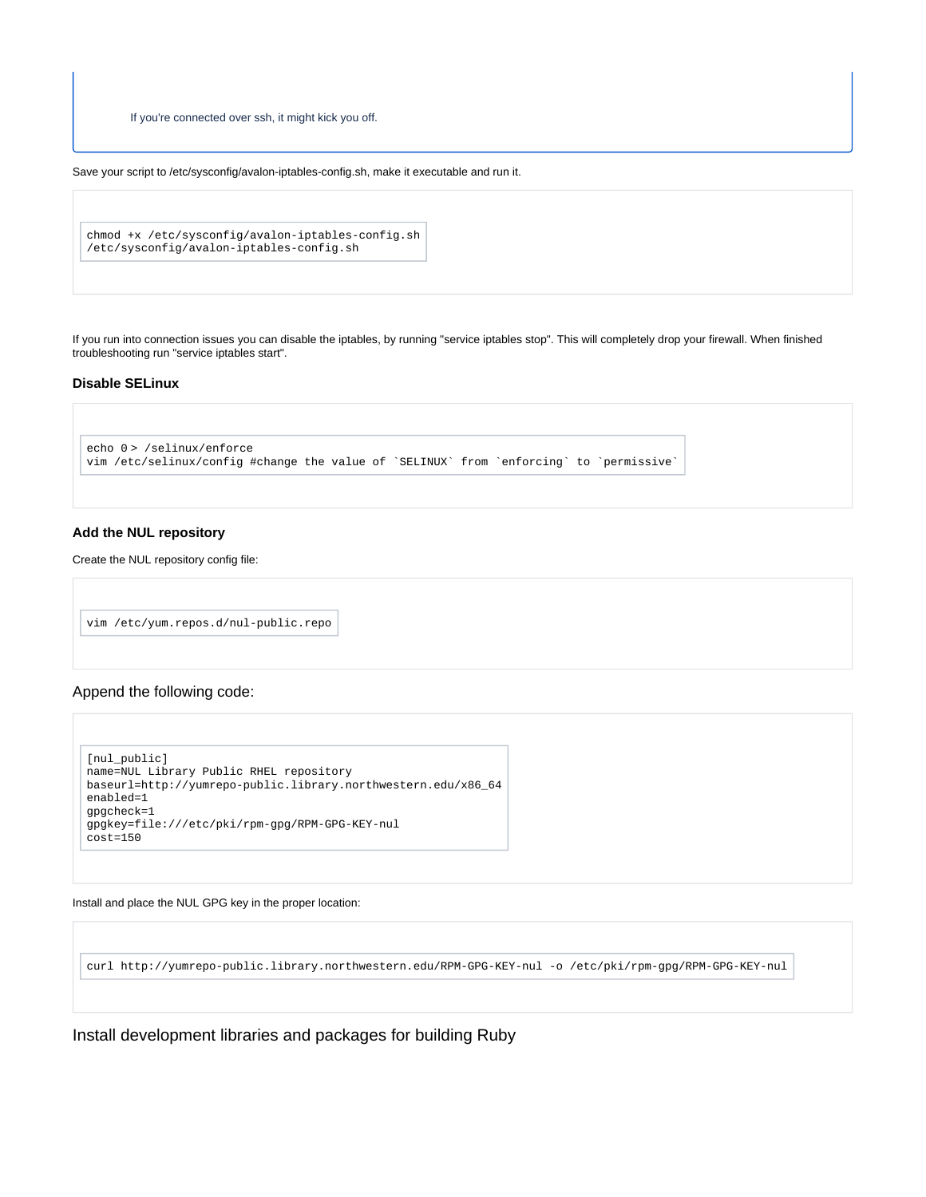If you're connected over ssh, it might kick you off.

Save your script to /etc/sysconfig/avalon-iptables-config.sh, make it executable and run it.

```
chmod +x /etc/sysconfig/avalon-iptables-config.sh
/etc/sysconfig/avalon-iptables-config.sh
```
If you run into connection issues you can disable the iptables, by running "service iptables stop". This will completely drop your firewall. When finished troubleshooting run "service iptables start".

#### **Disable SELinux**

```
echo 0 > /selinux/enforce
vim /etc/selinux/config #change the value of `SELINUX` from `enforcing` to `permissive`
```
#### **Add the NUL repository**

Create the NUL repository config file:

```
vim /etc/yum.repos.d/nul-public.repo
```
#### Append the following code:

```
[nul_public]
name=NUL Library Public RHEL repository
baseurl=http://yumrepo-public.library.northwestern.edu/x86_64
enabled=1
gpgcheck=1
gpgkey=file:///etc/pki/rpm-gpg/RPM-GPG-KEY-nul
cost=150
```
Install and place the NUL GPG key in the proper location:

curl http://yumrepo-public.library.northwestern.edu/RPM-GPG-KEY-nul -o /etc/pki/rpm-gpg/RPM-GPG-KEY-nul

Install development libraries and packages for building Ruby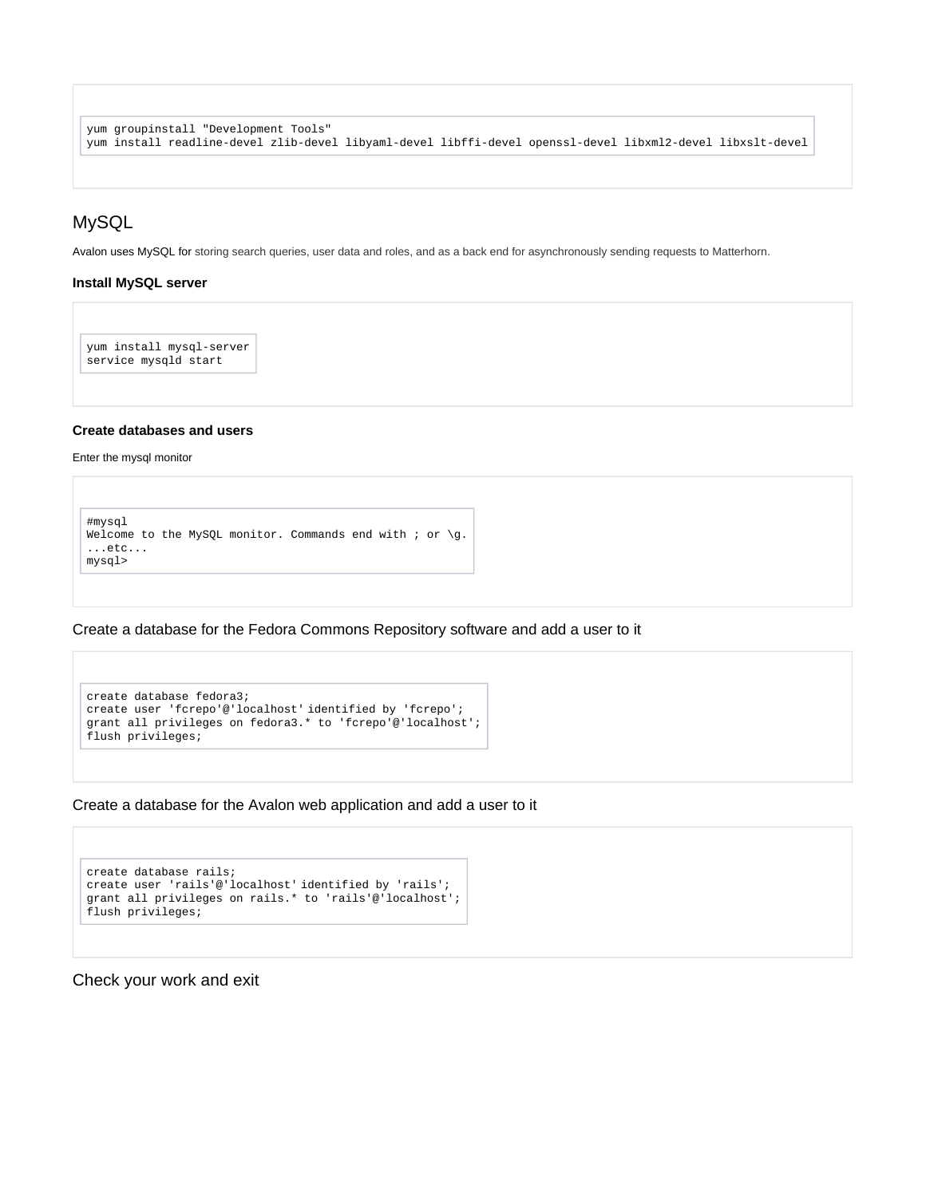```
yum groupinstall "Development Tools"
yum install readline-devel zlib-devel libyaml-devel libffi-devel openssl-devel libxml2-devel libxslt-devel
```
# MySQL

Avalon uses MySQL for storing search queries, user data and roles, and as a back end for asynchronously sending requests to Matterhorn.

#### **Install MySQL server**

yum install mysql-server service mysqld start

#### **Create databases and users**

Enter the mysql monitor

```
#mysql
Welcome to the MySQL monitor. Commands end with ; or \gtrsim.
...etc...
mysql>
```
Create a database for the Fedora Commons Repository software and add a user to it

```
create database fedora3;
create user 'fcrepo'@'localhost' identified by 'fcrepo';
grant all privileges on fedora3.* to 'fcrepo'@'localhost';
flush privileges;
```
Create a database for the Avalon web application and add a user to it

```
create database rails;
create user 'rails'@'localhost' identified by 'rails';
grant all privileges on rails.* to 'rails'@'localhost';
flush privileges;
```
Check your work and exit